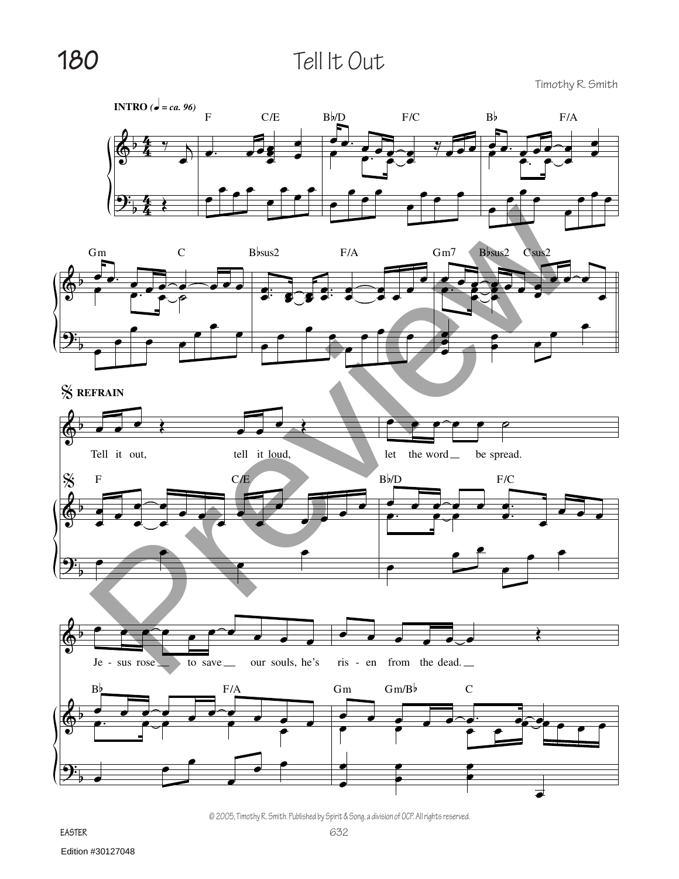## **180** Tell It Out

Timothy R. Smith





% **REFRAIN**





© 2005, Timothy R. Smith. Published by Spirit & Song, a division of OCP. All rights reserved.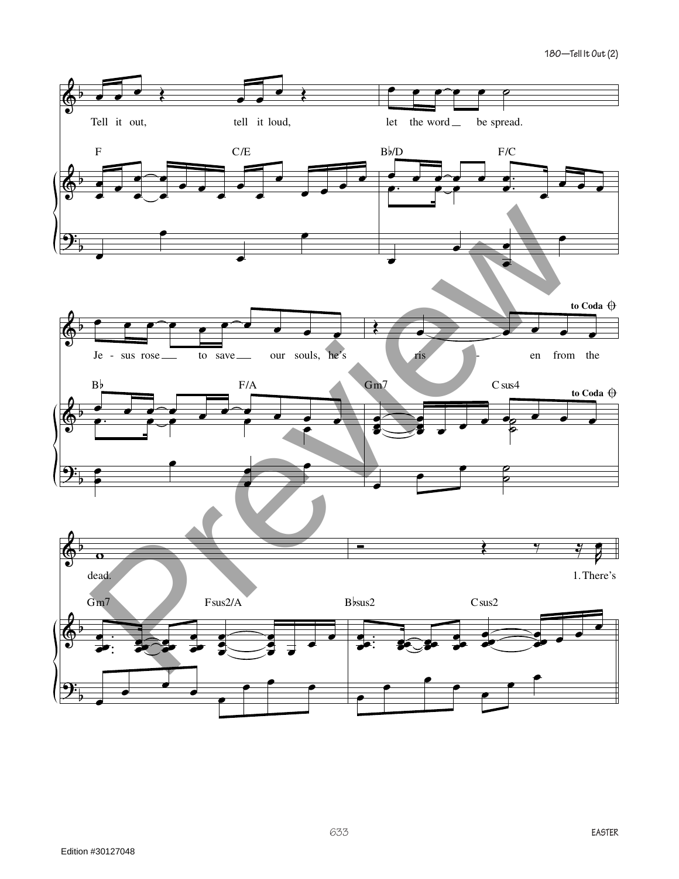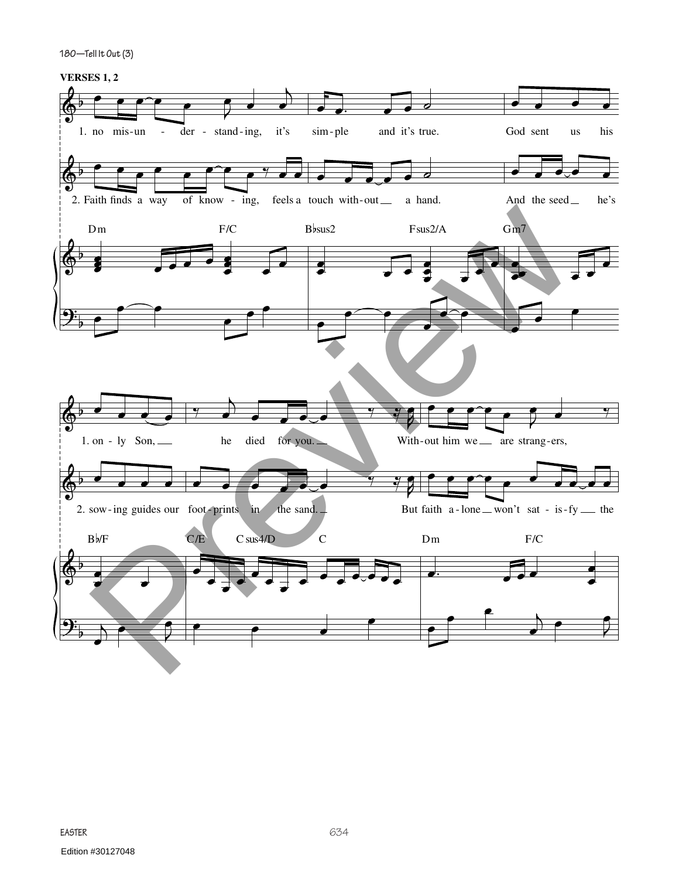**180—Tell It Out (3)**

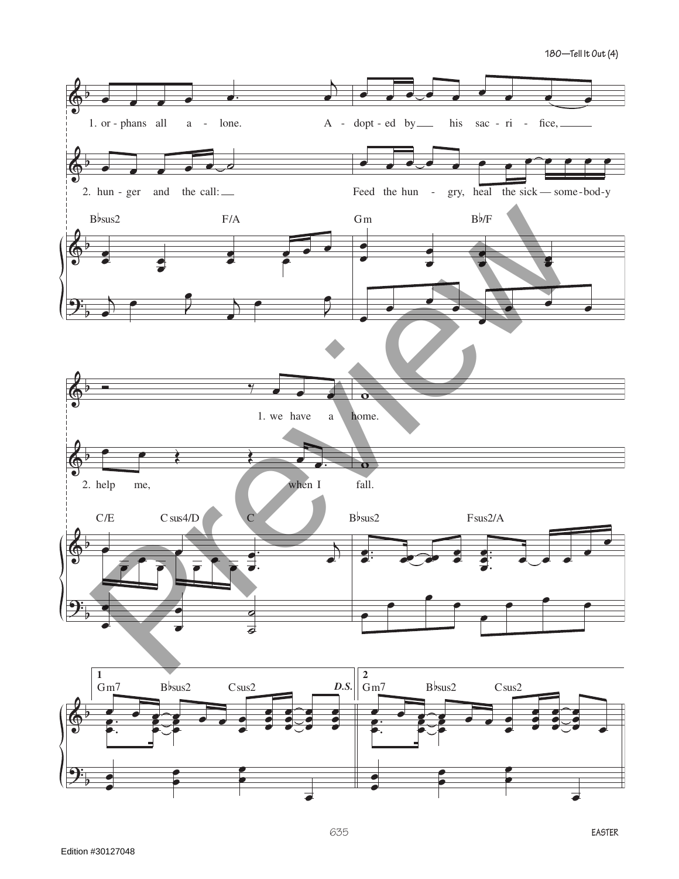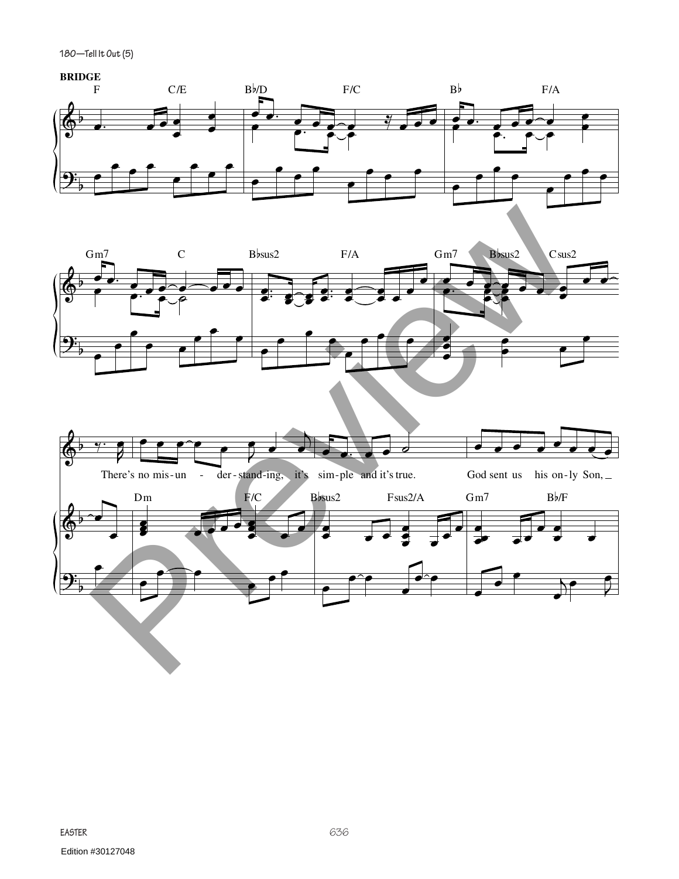**180—Tell It Out (5)**